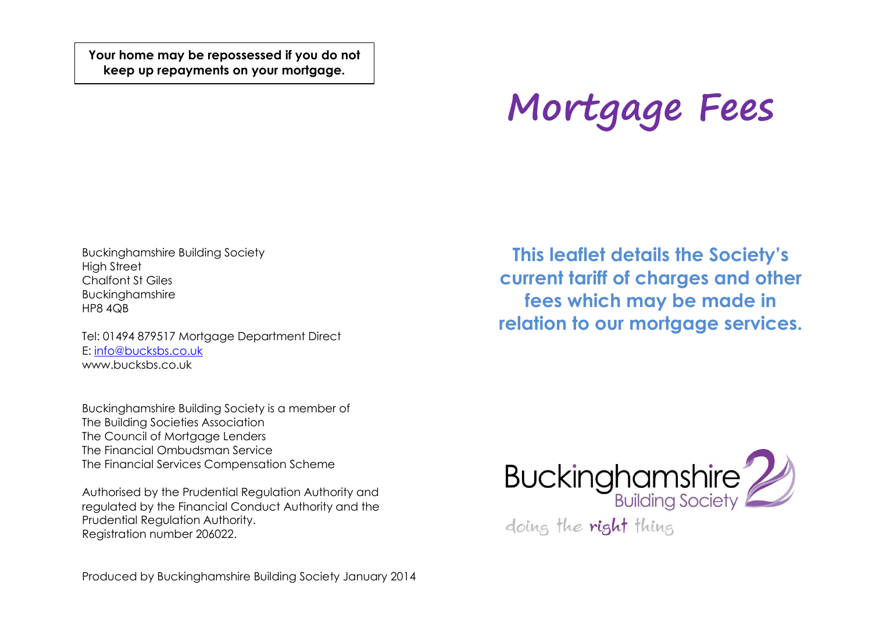**Your home may be repossessed if you do not keep up repayments on your mortgage.**

# **Mortgage Fees**

Buckinghamshire Building Society High Street Chalfont St Giles Buckinghamshire HP8 4QB

Tel: 01494 879517 Mortgage Department Direct E: [info@bucksbs.co.uk](mailto:info@bucksbs.co.uk) www.bucksbs.co.uk

Buckinghamshire Building Society is a member of The Building Societies Association The Council of Mortagae Lenders The Financial Ombudsman Service The Financial Services Compensation Scheme

Authorised by the Prudential Regulation Authority and regulated by the Financial Conduct Authority and the Prudential Regulation Authority. Registration number 206022.

**This leaflet details the Society's current tariff of charges and other fees which may be made in relation to our mortgage services.**



Produced by Buckinghamshire Building Society January 2014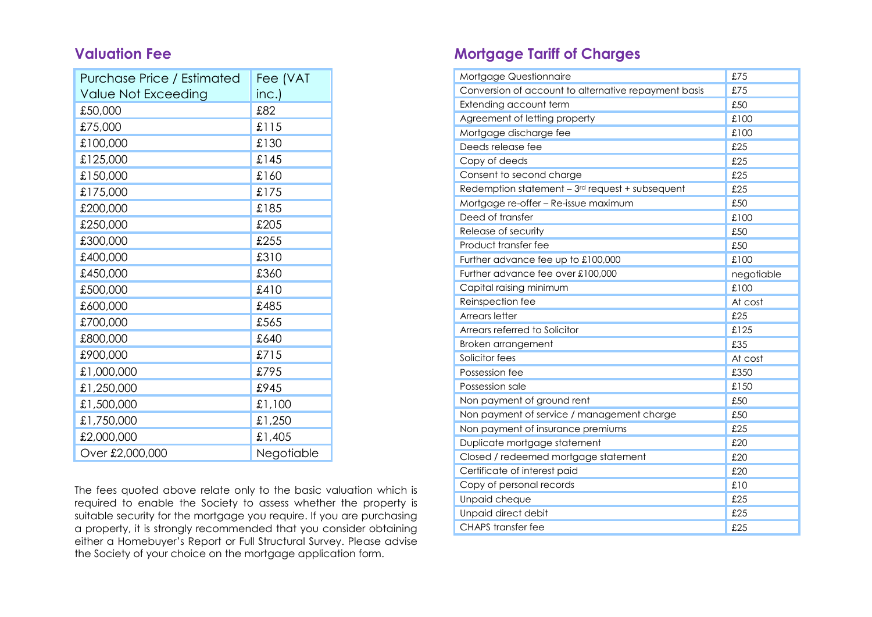### **Valuation Fee**

| Purchase Price / Estimated | Fee (VAT   |
|----------------------------|------------|
| Value Not Exceeding        | inc.)      |
| £50,000                    | £82        |
| £75,000                    | £115       |
| £100,000                   | £130       |
| £125,000                   | £145       |
| £150,000                   | £160       |
| £175,000                   | £175       |
| £200,000                   | £185       |
| £250,000                   | £205       |
| £300,000                   | £255       |
| £400,000                   | £310       |
| £450,000                   | £360       |
| £500,000                   | £410       |
| £600,000                   | £485       |
| £700,000                   | £565       |
| £800,000                   | £640       |
| £900,000                   | £715       |
| £1,000,000                 | £795       |
| £1,250,000                 | £945       |
| £1,500,000                 | £1,100     |
| £1,750,000                 | £1,250     |
| £2,000,000                 | £1,405     |
| Over £2,000,000            | Negotiable |

The fees quoted above relate only to the basic valuation which is required to enable the Society to assess whether the property is suitable security for the mortgage you require. If you are purchasing a property, it is strongly recommended that you consider obtaining either a Homebuyer's Report or Full Structural Survey. Please advise the Society of your choice on the mortgage application form.

## **Mortgage Tariff of Charges**

| Mortgage Questionnaire                               | £75        |
|------------------------------------------------------|------------|
| Conversion of account to alternative repayment basis | £75        |
| Extending account term                               | £50        |
| Agreement of letting property                        | £100       |
| Mortgage discharge fee                               | £100       |
| Deeds release fee                                    | £25        |
| Copy of deeds                                        | £25        |
| Consent to second charge                             | £25        |
| Redemption statement $-3rd$ request + subsequent     | £25        |
| Mortgage re-offer - Re-issue maximum                 | £50        |
| Deed of transfer                                     | £100       |
| Release of security                                  | £50        |
| Product transfer fee                                 | £50        |
| Further advance fee up to £100,000                   | £100       |
| Further advance fee over £100,000                    | negotiable |
| Capital raising minimum                              | £100       |
| Reinspection fee                                     | At cost    |
| Arrears letter                                       | £25        |
| Arrears referred to Solicitor                        | £125       |
| Broken arrangement                                   | £35        |
| Solicitor fees                                       | At cost    |
| Possession fee                                       | £350       |
| Possession sale                                      | £150       |
| Non payment of ground rent                           | £50        |
| Non payment of service / management charge           | £50        |
| Non payment of insurance premiums                    | £25        |
| Duplicate mortgage statement                         | £20        |
| Closed / redeemed mortgage statement                 | £20        |
| Certificate of interest paid                         | £20        |
| Copy of personal records                             | £10        |
| Unpaid cheque                                        | £25        |
| Unpaid direct debit                                  | £25        |
| <b>CHAPS</b> transfer fee                            | £25        |